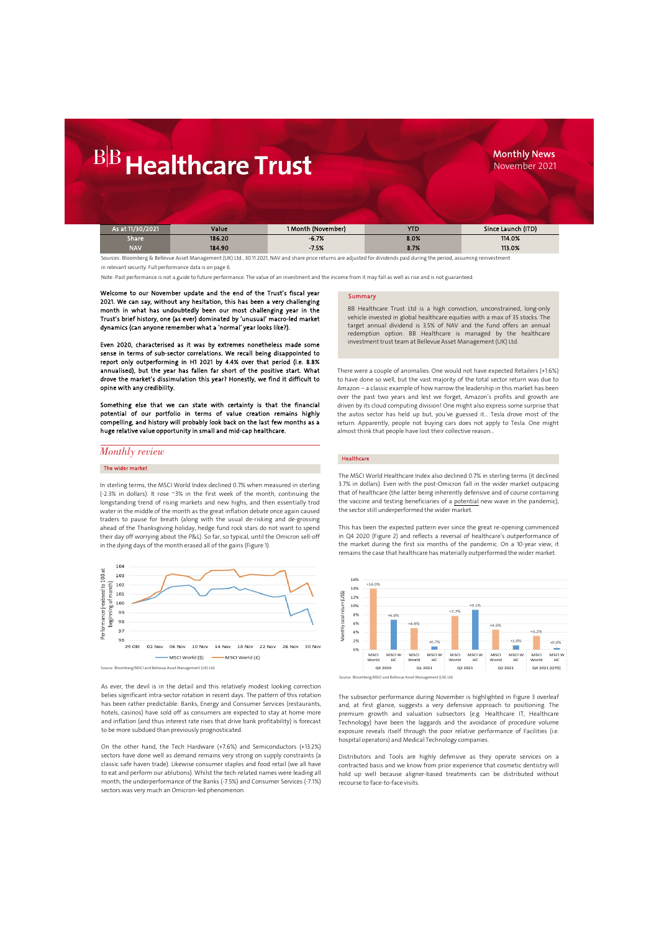### Monthly News November 2021

| As at 11/30/2021 | Value  | 1 Month (November) | <b>YTD</b> | Since Launch (ITD) |
|------------------|--------|--------------------|------------|--------------------|
| Share            | 186.20 | $-6.7%$            | 8.0%       | 114.0%             |
| <b>NAV</b>       | 184.90 | $-7.5%$            | 8.7%       | 113.0%             |

Sources: Bloomberg & Bellevue Asset Management (UK) Ltd., 30.11.2021, NAV and share price returns are adjusted for dividends paid during the period, assuming reinvestment

in relevant security. Full performance data is on page 6.

Note: Past performance is not a guide to future performance. The value of an investment and the income from it may fall as well as rise and is not guaranteed.

Welcome to our November update and the end of the Trust's fiscal year 2021. We can say, without any hesitation, this has been a very challenging month in what has undoubtedly been our most challenging year in the Trust's brief history, one (as ever) dominated by 'unusual' macro-led market dynamics (can anyone remember what a 'normal' year looks like?).

Even 2020, characterised as it was by extremes nonetheless made some sense in terms of sub-sector correlations. We recall being disappointed to report only outperforming in H1 2021 by 4.4% over that period (i.e. 8.8% annualised), but the year has fallen far short of the positive start. What drove the market's dissimulation this year? Honestly, we find it difficult to opine with any credibility.

Something else that we can state with certainty is that the financial potential of our portfolio in terms of value creation remains highly compelling, and history will probably look back on the last few months as a huge relative value opportunity in small and mid-cap healthcare.

### *Monthly review*

### The wider market

In sterling terms, the MSCI World Index declined 0.7% when measured in sterling (-2.3% in dollars). It rose ~3% in the first week of the month, continuing the longstanding trend of rising markets and new highs, and then essentially trod water in the middle of the month as the great inflation debate once again caused traders to pause for breath (along with the usual de-risking and de-grossing ahead of the Thanksgiving holiday, hedge fund rock stars do not want to spend their day off worrying about the P&L). So far, so typical, until the Omicron sell-off in the dying days of the month erased all of the gains (Figure 1).



Source: Bloomberg/MSCI and Bellevue Asset Management (UK) Ltd.

As ever, the devil is in the detail and this relatively modest looking correction belies significant intra-sector rotation in recent days. The pattern of this rotation has been rather predictable: Banks, Energy and Consumer Services (restaurants, hotels, casinos) have sold off as consumers are expected to stay at home more and inflation (and thus interest rate rises that drive bank profitability) is forecast to be more subdued than previously prognosticated.

On the other hand, the Tech Hardware (+7.6%) and Semiconductors (+13.2%) sectors have done well as demand remains very strong on supply constraints (a classic safe haven trade). Likewise consumer staples and food retail (we all have to eat and perform our ablutions). Whilst the tech-related names were leading all month, the underperformance of the Banks (-7.5%) and Consumer Services (-7.1%) sectors was very much an Omicron-led phenomenon.

### **Summary**

BB Healthcare Trust Ltd is a high conviction, unconstrained, long-only vehicle invested in global healthcare equities with a max of 35 stocks. The target annual dividend is 3.5% of NAV and the fund offers an annual redemption option. BB Healthcare is managed by the healthcare investment trust team at Bellevue Asset Management (UK) Ltd.

There were a couple of anomalies. One would not have expected Retailers (+1.6%) to have done so well, but the vast majority of the total sector return was due to Amazon – a classic example of how narrow the leadership in this market has been over the past two years and lest we forget, Amazon's profits and growth are driven by its cloud computing division! One might also express some surprise that the autos sector has held up but, you've guessed it… Tesla drove most of the return. Apparently, people not buying cars does not apply to Tesla. One might almost think that people have lost their collective reason…

#### Healthcare

The MSCI World Healthcare Index also declined 0.7% in sterling terms (it declined 3.7% in dollars). Even with the post-Omicron fall in the wider market outpacing that of healthcare (the latter being inherently defensive and of course containing the vaccine and testing beneficiaries of a potential new wave in the pandemic), the sector still underperformed the wider market.

This has been the expected pattern ever since the great re-opening commenced in Q4 2020 (Figure 2) and reflects a reversal of healthcare's outperformance of the market during the first six months of the pandemic. On a 10-year view, it remains the case that healthcare has materially outperformed the wider market.





The subsector performance during November is highlighted in Figure 3 overleaf and, at first glance, suggests a very defensive approach to positioning. The premium growth and valuation subsectors (e.g. Healthcare IT, Healthcare Technology) have been the laggards and the avoidance of procedure volume exposure reveals itself through the poor relative performance of Facilities (i.e. hospital operators) and Medical Technology companies.

Distributors and Tools are highly defensive as they operate services on a contracted basis and we know from prior experience that cosmetic dentistry will hold up well because aligner-based treatments can be distributed without recourse to face-to-face visits.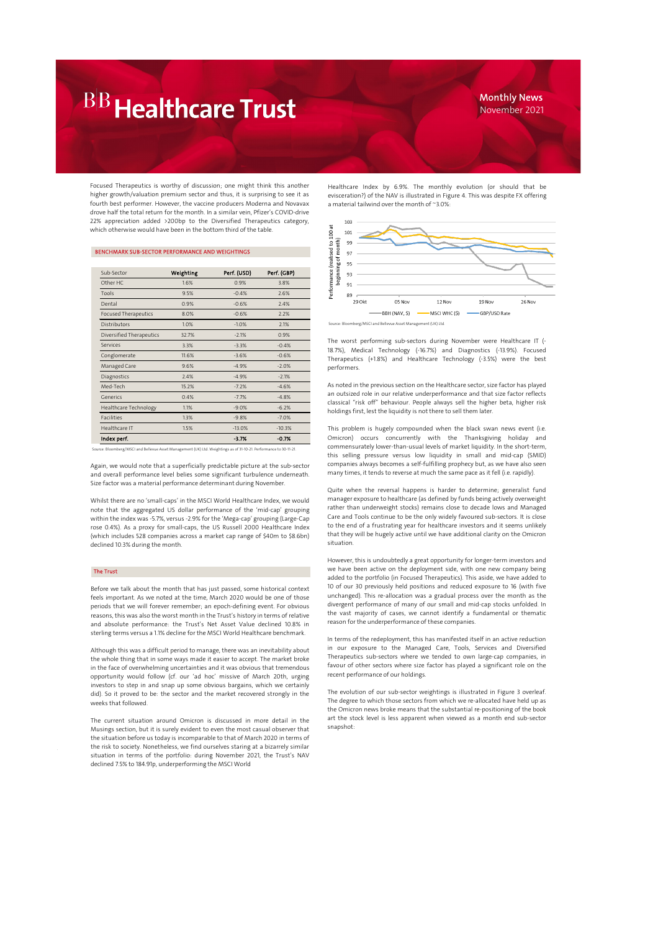### Monthly News November 2021

Focused Therapeutics is worthy of discussion; one might think this another higher growth/valuation premium sector and thus, it is surprising to see it as fourth best performer. However, the vaccine producers Moderna and Novavax drove half the total return for the month. In a similar vein, Pfizer's COVID-drive 22% appreciation added >200bp to the Diversified Therapeutics category, which otherwise would have been in the bottom third of the table.

### BENCHMARK SUB-SECTOR PERFORMANCE AND WEIGHTINGS

| Sub-Sector                   | Weighting | Perf. (USD) | Perf. (GBP) |
|------------------------------|-----------|-------------|-------------|
| Other HC                     | 1.6%      | 0.9%        | 3.8%        |
| Tools                        | 9.5%      | $-0.4%$     | 2.6%        |
| Dental                       | 0.9%      | $-0.6%$     | 2.4%        |
| <b>Focused Therapeutics</b>  | 8.0%      | $-0.6%$     | 2.2%        |
| <b>Distributors</b>          | 1.0%      | $-1.0%$     | 2.1%        |
| Diversified Therapeutics     | 32.7%     | $-2.1%$     | 0.9%        |
| Services                     | 3.3%      | $-3.3%$     | $-0.4%$     |
| Conglomerate                 | 11.6%     | $-3.6%$     | $-0.6%$     |
| Managed Care                 | 9.6%      | $-4.9%$     | $-2.0%$     |
| Diagnostics                  | 2.4%      | $-4.9%$     | $-2.1%$     |
| Med-Tech                     | 15.2%     | $-7.2%$     | $-4.6%$     |
| Generics                     | 0.4%      | $-7.7%$     | $-4.8%$     |
| <b>Healthcare Technology</b> | 1.1%      | $-9.0%$     | $-6.2%$     |
| <b>Facilities</b>            | 1.3%      | $-9.8%$     | $-7.0%$     |
| Healthcare IT                | 1.5%      | $-13.0%$    | $-10.3%$    |
| Index perf.                  |           | $-3.7%$     | $-0.7%$     |

Source: Bloomberg/MSCI and Bellevue Asset Management (UK) Ltd. Weightings as of 31-10-21. Performance to 30-11-21.

Again, we would note that a superficially predictable picture at the sub-sector and overall performance level belies some significant turbulence underneath. Size factor was a material performance determinant during November.

Whilst there are no 'small-caps' in the MSCI World Healthcare Index, we would note that the aggregated US dollar performance of the 'mid-cap' grouping within the index was -5.7%, versus -2.9% for the 'Mega-cap' grouping (Large-Cap rose 0.4%). As a proxy for small-caps, the US Russell 2000 Healthcare Index (which includes 528 companies across a market cap range of \$40m to \$8.6bn) declined 10.3% during the month.

### The Trust

Before we talk about the month that has just passed, some historical context feels important. As we noted at the time, March 2020 would be one of those periods that we will forever remember; an epoch-defining event. For obvious reasons, this was also the worst month in the Trust's history in terms of relative and absolute performance: the Trust's Net Asset Value declined 10.8% in sterling terms versus a 1.1% decline for the MSCI World Healthcare benchmark.

Although this was a difficult period to manage, there was an inevitability about the whole thing that in some ways made it easier to accept. The market broke in the face of overwhelming uncertainties and it was obvious that tremendous opportunity would follow (cf. our 'ad hoc' missive of March 20th, urging investors to step in and snap up some obvious bargains, which we certainly did). So it proved to be: the sector and the market recovered strongly in the weeks that followed.

The current situation around Omicron is discussed in more detail in the Musings section, but it is surely evident to even the most casual observer that the situation before us today is incomparable to that of March 2020 in terms of the risk to society. Nonetheless, we find ourselves staring at a bizarrely similar situation in terms of the portfolio: during November 2021, the Trust's NAV declined 7.5% to 184.91p, underperforming the MSCI World

Healthcare Index by 6.9%. The monthly evolution (or should that be evisceration?) of the NAV is illustrated in Figure 4. This was despite FX offering a material tailwind over the month of ~3.0%:



Source: Bloomberg/MSCI and Bellevue Asset Management (UK) Ltd.

The worst performing sub-sectors during November were Healthcare IT (- 18.7%), Medical Technology (-16.7%) and Diagnostics (-13.9%). Focused Therapeutics (+1.8%) and Healthcare Technology (-3.5%) were the best performers.

As noted in the previous section on the Healthcare sector, size factor has played an outsized role in our relative underperformance and that size factor reflects classical "risk off" behaviour. People always sell the higher beta, higher risk holdings first, lest the liquidity is not there to sell them later.

This problem is hugely compounded when the black swan news event (i.e. Omicron) occurs concurrently with the Thanksgiving holiday and commensurately lower-than-usual levels of market liquidity. In the short-term, this selling pressure versus low liquidity in small and mid-cap (SMID) companies always becomes a self-fulfilling prophecy but, as we have also seen many times, it tends to reverse at much the same pace as it fell (i.e. rapidly).

Quite when the reversal happens is harder to determine; generalist fund manager exposure to healthcare (as defined by funds being actively overweight rather than underweight stocks) remains close to decade lows and Managed Care and Tools continue to be the only widely favoured sub-sectors. It is close to the end of a frustrating year for healthcare investors and it seems unlikely that they will be hugely active until we have additional clarity on the Omicron situation.

However, this is undoubtedly a great opportunity for longer-term investors and we have been active on the deployment side, with one new company being added to the portfolio (in Focused Therapeutics). This aside, we have added to 10 of our 30 previously held positions and reduced exposure to 16 (with five unchanged). This re-allocation was a gradual process over the month as the divergent performance of many of our small and mid-cap stocks unfolded. In the vast majority of cases, we cannot identify a fundamental or thematic reason for the underperformance of these companies.

In terms of the redeployment, this has manifested itself in an active reduction in our exposure to the Managed Care, Tools, Services and Diversified Therapeutics sub-sectors where we tended to own large-cap companies, in favour of other sectors where size factor has played a significant role on the recent performance of our holdings.

The evolution of our sub-sector weightings is illustrated in Figure 3 overleaf. The degree to which those sectors from which we re-allocated have held up as the Omicron news broke means that the substantial re-positioning of the book art the stock level is less apparent when viewed as a month end sub-sector snapshot: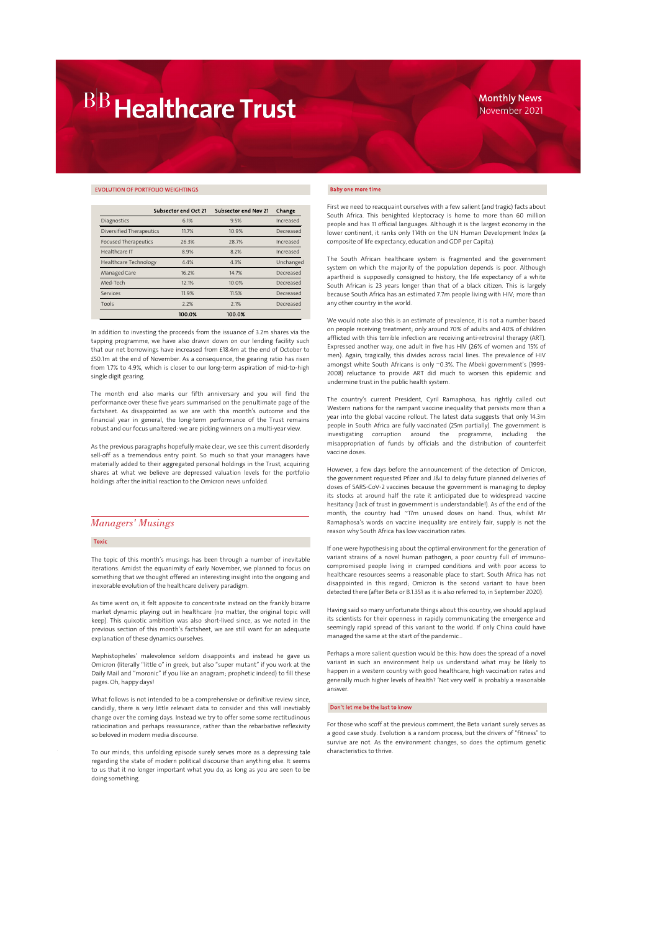### EVOLUTION OF PORTFOLIO WEIGHTINGS

|                              | Subsector end Oct 21 | Subsector end Nov 21 | Change    |
|------------------------------|----------------------|----------------------|-----------|
| Diagnostics                  | 6.1%                 | 9.5%                 | Increased |
| Diversified Therapeutics     | 11.7%                | 10.9%                | Decreased |
| <b>Focused Therapeutics</b>  | 26.3%                | 28.7%                | Increased |
| Healthcare IT                | 8.9%                 | 8.2%                 | Increased |
| <b>Healthcare Technology</b> | 4.4%                 | 4.3%                 | Unchanged |
| Managed Care                 | 16.2%                | 14.7%                | Decreased |
| Med-Tech                     | 12.1%                | 10.0%                | Decreased |
| Services                     | 11.9%                | 11.5%                | Decreased |
| Tools                        | 2.2%                 | 2.1%                 | Decreased |
|                              | 100.0%               | 100.0%               |           |

In addition to investing the proceeds from the issuance of 3.2m shares via the tapping programme, we have also drawn down on our lending facility such that our net borrowings have increased from £18.4m at the end of October to £50.1m at the end of November. As a consequence, the gearing ratio has risen from 1.7% to 4.9%, which is closer to our long-term aspiration of mid-to-high single digit gearing.

The month end also marks our fifth anniversary and you will find the performance over these five years summarised on the penultimate page of the factsheet. As disappointed as we are with this month's outcome and the financial year in general, the long-term performance of the Trust remains robust and our focus unaltered: we are picking winners on a multi-year view.

As the previous paragraphs hopefully make clear, we see this current disorderly sell-off as a tremendous entry point. So much so that your managers have materially added to their aggregated personal holdings in the Trust, acquiring shares at what we believe are depressed valuation levels for the portfolio holdings after the initial reaction to the Omicron news unfolded.

### *Managers' Musings*

### Toxic

The topic of this month's musings has been through a number of inevitable iterations. Amidst the equanimity of early November, we planned to focus on something that we thought offered an interesting insight into the ongoing and inexorable evolution of the healthcare delivery paradigm.

As time went on, it felt apposite to concentrate instead on the frankly bizarre market dynamic playing out in healthcare (no matter, the original topic will keep). This quixotic ambition was also short-lived since, as we noted in the previous section of this month's factsheet, we are still want for an adequate explanation of these dynamics ourselves.

Mephistopheles' malevolence seldom disappoints and instead he gave us Omicron (literally "little o" in greek, but also "super mutant" if you work at the Daily Mail and "moronic" if you like an anagram; prophetic indeed) to fill these pages. Oh, happy days!

What follows is not intended to be a comprehensive or definitive review since, candidly, there is very little relevant data to consider and this will inevtiably change over the coming days. Instead we try to offer some some rectitudinous ratiocination and perhaps reassurance, rather than the rebarbative reflexivity so beloved in modern media discourse.

To our minds, this unfolding episode surely serves more as a depressing tale regarding the state of modern political discourse than anything else. It seems to us that it no longer important what you do, as long as you are seen to be doing something.

#### Baby one more time

First we need to reacquaint ourselves with a few salient (and tragic) facts about South Africa. This benighted kleptocracy is home to more than 60 million people and has 11 official languages. Although it is the largest economy in the lower continent, it ranks only 114th on the UN Human Development Index (a composite of life expectancy, education and GDP per Capita).

The South African healthcare system is fragmented and the government system on which the majority of the population depends is poor. Although apartheid is supposedly consigned to history, the life expectancy of a white South African is 23 years longer than that of a black citizen. This is largely because South Africa has an estimated 7.7m people living with HIV; more than any other country in the world.

We would note also this is an estimate of prevalence, it is not a number based on people receiving treatment; only around 70% of adults and 40% of children afflicted with this terrible infection are receiving anti-retroviral therapy (ART). Expressed another way, one adult in five has HIV (26% of women and 15% of men). Again, tragically, this divides across racial lines. The prevalence of HIV amongst white South Africans is only ~0.3%. The Mbeki government's (1999- 2008) reluctance to provide ART did much to worsen this epidemic and undermine trust in the public health system.

The country's current President, Cyril Ramaphosa, has rightly called out Western nations for the rampant vaccine inequality that persists more than a year into the global vaccine rollout. The latest data suggests that only 14.3m people in South Africa are fully vaccinated (25m partially). The government is investigating corruption around the programme, including the misappropriation of funds by officials and the distribution of counterfeit vaccine doses.

However, a few days before the announcement of the detection of Omicron, the government requested Pfizer and J&J to delay future planned deliveries of doses of SARS-CoV-2 vaccines because the government is managing to deploy its stocks at around half the rate it anticipated due to widespread vaccine hesitancy (lack of trust in government is understandable!). As of the end of the month, the country had ~17m unused doses on hand. Thus, whilst Mr Ramaphosa's words on vaccine inequality are entirely fair, supply is not the reason why South Africa has low vaccination rates.

If one were hypothesising about the optimal environment for the generation of variant strains of a novel human pathogen, a poor country full of immunocompromised people living in cramped conditions and with poor access to healthcare resources seems a reasonable place to start. South Africa has not disappointed in this regard; Omicron is the second variant to have been detected there (after Beta or B.1.351 as it is also referred to, in September 2020).

Having said so many unfortunate things about this country, we should applaud its scientists for their openness in rapidly communicating the emergence and seemingly rapid spread of this variant to the world. If only China could have managed the same at the start of the pandemic…

Perhaps a more salient question would be this: how does the spread of a novel variant in such an environment help us understand what may be likely to happen in a western country with good healthcare, high vaccination rates and generally much higher levels of health? 'Not very well' is probably a reasonable answer.

### Don't let me be the last to know

For those who scoff at the previous comment, the Beta variant surely serves as a good case study. Evolution is a random process, but the drivers of "fitness" to survive are not. As the environment changes, so does the optimum genetic characteristics to thrive.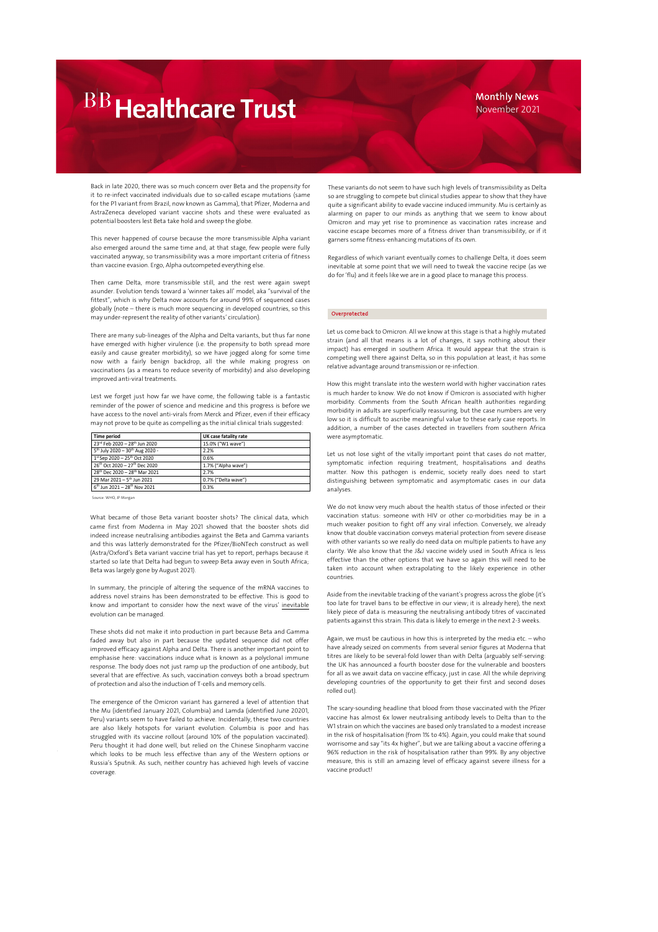### Monthly News November 2021

Back in late 2020, there was so much concern over Beta and the propensity for it to re-infect vaccinated individuals due to so-called escape mutations (same for the P1 variant from Brazil, now known as Gamma), that Pfizer, Moderna and AstraZeneca developed variant vaccine shots and these were evaluated as potential boosters lest Beta take hold and sweep the globe.

This never happened of course because the more transmissible Alpha variant also emerged around the same time and, at that stage, few people were fully vaccinated anyway, so transmissibility was a more important criteria of fitness than vaccine evasion. Ergo, Alpha outcompeted everything else.

Then came Delta, more transmissible still, and the rest were again swept asunder. Evolution tends toward a 'winner takes all' model, aka "survival of the fittest", which is why Delta now accounts for around 99% of sequenced cases globally (note – there is much more sequencing in developed countries, so this may under-represent the reality of other variants' circulation).

There are many sub-lineages of the Alpha and Delta variants, but thus far none have emerged with higher virulence (i.e. the propensity to both spread more easily and cause greater morbidity), so we have jogged along for some time now with a fairly benign backdrop, all the while making progress on vaccinations (as a means to reduce severity of morbidity) and also developing improved anti-viral treatments.

Lest we forget just how far we have come, the following table is a fantastic reminder of the power of science and medicine and this progress is before we have access to the novel anti-virals from Merck and Pfizer, even if their efficacy may not prove to be quite as compelling as the initial clinical trials suggested:

| Time period                                             | UK case fatality rate |
|---------------------------------------------------------|-----------------------|
| 23rd Feb 2020 - 28 <sup>th</sup> Jun 2020               | 15.0% ("W1 wave")     |
| 5 <sup>th</sup> July 2020 - 30 <sup>th</sup> Aug 2020 - | 2.2%                  |
| $1^{st}$ Sep 2020 - 25 <sup>th</sup> Oct 2020           | 0.6%                  |
| 26th Oct 2020 - 27th Dec 2020                           | 1.7% ("Alpha wave")   |
| 28 <sup>th</sup> Dec 2020 - 28 <sup>th</sup> Mar 2021   | 2.7%                  |
| 29 Mar 2021 - 5th Jun 2021                              | 0.7% ("Delta wave")   |
| 6 <sup>th</sup> Jun 2021 - 28 <sup>th</sup> Nov 2021    | 0.3%                  |

Source: WHO, JP Morgan

What became of those Beta variant booster shots? The clinical data, which came first from Moderna in May 2021 showed that the booster shots did indeed increase neutralising antibodies against the Beta and Gamma variants and this was latterly demonstrated for the Pfizer/BioNTech construct as well (Astra/Oxford's Beta variant vaccine trial has yet to report, perhaps because it started so late that Delta had begun to sweep Beta away even in South Africa; Beta was largely gone by August 2021).

In summary, the principle of altering the sequence of the mRNA vaccines to address novel strains has been demonstrated to be effective. This is good to know and important to consider how the next wave of the virus' inevitable evolution can be managed.

These shots did not make it into production in part because Beta and Gamma faded away but also in part because the updated sequence did not offer improved efficacy against Alpha and Delta. There is another important point to emphasise here: vaccinations induce what is known as a polyclonal immune response. The body does not just ramp up the production of one antibody, but several that are effective. As such, vaccination conveys both a broad spectrum of protection and also the induction of T-cells and memory cells.

The emergence of the Omicron variant has garnered a level of attention that the Mu (identified January 2021, Columbia) and Lamda (identified June 20201, Peru) variants seem to have failed to achieve. Incidentally, these two countries are also likely hotspots for variant evolution. Columbia is poor and has struggled with its vaccine rollout (around 10% of the population vaccinated). Peru thought it had done well, but relied on the Chinese Sinopharm vaccine which looks to be much less effective than any of the Western options or Russia's Sputnik. As such, neither country has achieved high levels of vaccine coverage.

These variants do not seem to have such high levels of transmissibility as Delta so are struggling to compete but clinical studies appear to show that they have quite a significant ability to evade vaccine induced immunity. Mu is certainly as alarming on paper to our minds as anything that we seem to know about Omicron and may yet rise to prominence as vaccination rates increase and vaccine escape becomes more of a fitness driver than transmissibility, or if it garners some fitness-enhancing mutations of its own.

Regardless of which variant eventually comes to challenge Delta, it does seem inevitable at some point that we will need to tweak the vaccine recipe (as we do for 'flu) and it feels like we are in a good place to manage this process.

### Overprotected

Let us come back to Omicron. All we know at this stage is that a highly mutated strain (and all that means is a lot of changes, it says nothing about their impact) has emerged in southern Africa. It would appear that the strain is competing well there against Delta, so in this population at least, it has some relative advantage around transmission or re-infection.

How this might translate into the western world with higher vaccination rates is much harder to know. We do not know if Omicron is associated with higher morbidity. Comments from the South African health authorities regarding morbidity in adults are superficially reassuring, but the case numbers are very low so it is difficult to ascribe meaningful value to these early case reports. In addition, a number of the cases detected in travellers from southern Africa were asymptomatic.

Let us not lose sight of the vitally important point that cases do not matter, symptomatic infection requiring treatment, hospitalisations and deaths matter. Now this pathogen is endemic, society really does need to start distinguishing between symptomatic and asymptomatic cases in our data analyses.

We do not know very much about the health status of those infected or their vaccination status: someone with HIV or other co-morbidities may be in a much weaker position to fight off any viral infection. Conversely, we already know that double vaccination conveys material protection from severe disease with other variants so we really do need data on multiple patients to have any clarity. We also know that the J&J vaccine widely used in South Africa is less effective than the other options that we have so again this will need to be taken into account when extrapolating to the likely experience in other countries.

Aside from the inevitable tracking of the variant's progress across the globe (it's too late for travel bans to be effective in our view; it is already here), the next likely piece of data is measuring the neutralising antibody titres of vaccinated patients against this strain. This data is likely to emerge in the next 2-3 weeks.

Again, we must be cautious in how this is interpreted by the media etc. – who have already seized on comments from several senior figures at Moderna that titres are likely to be several-fold lower than with Delta (arguably self-serving: the UK has announced a fourth booster dose for the vulnerable and boosters for all as we await data on vaccine efficacy, just in case. All the while depriving developing countries of the opportunity to get their first and second doses rolled out).

The scary-sounding headline that blood from those vaccinated with the Pfizer vaccine has almost 6x lower neutralising antibody levels to Delta than to the W1 strain on which the vaccines are based only translated to a modest increase in the risk of hospitalisation (from 1% to 4%). Again, you could make that sound worrisome and say "its 4x higher", but we are talking about a vaccine offering a 96% reduction in the risk of hospitalisation rather than 99%. By any objective measure, this is still an amazing level of efficacy against severe illness for a vaccine product!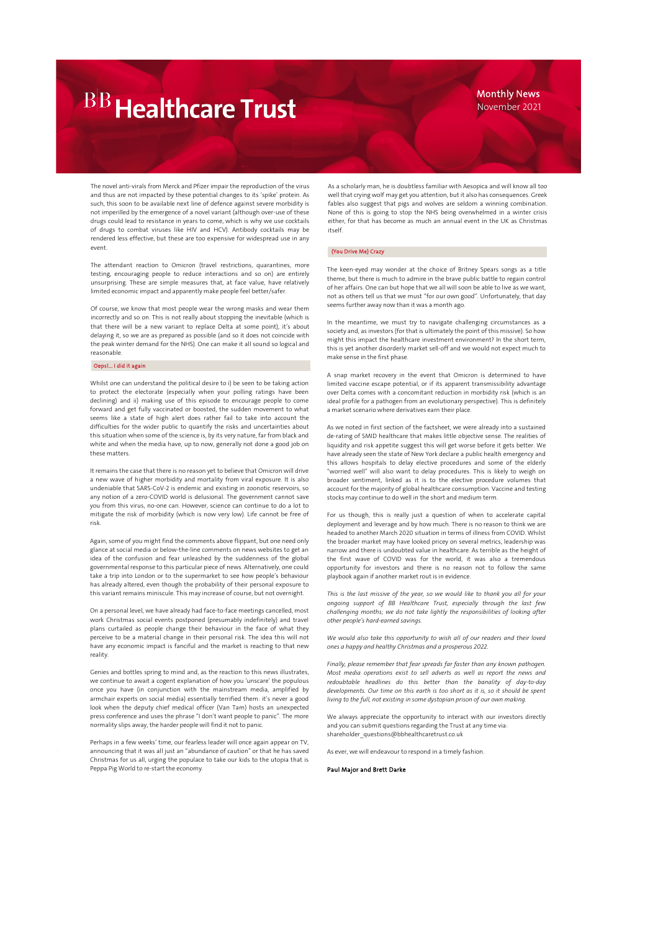### Monthly News November 2021

The novel anti-virals from Merck and Pfizer impair the reproduction of the virus and thus are not impacted by these potential changes to its 'spike' protein. As such, this soon to be available next line of defence against severe morbidity is not imperilled by the emergence of a novel variant (although over-use of these drugs could lead to resistance in years to come, which is why we use cocktails of drugs to combat viruses like HIV and HCV). Antibody cocktails may be rendered less effective, but these are too expensive for widespread use in any event.

The attendant reaction to Omicron (travel restrictions, quarantines, more testing, encouraging people to reduce interactions and so on) are entirely unsurprising. These are simple measures that, at face value, have relatively limited economic impact and apparently make people feel better/safer.

Of course, we know that most people wear the wrong masks and wear them incorrectly and so on. This is not really about stopping the inevitable (which is that there will be a new variant to replace Delta at some point), it's about delaying it, so we are as prepared as possible (and so it does not coincide with the peak winter demand for the NHS). One can make it all sound so logical and reasonable.

### Oops!... I did it again

Whilst one can understand the political desire to i) be seen to be taking action to protect the electorate (especially when your polling ratings have been declining) and ii) making use of this episode to encourage people to come forward and get fully vaccinated or boosted, the sudden movement to what seems like a state of high alert does rather fail to take into account the difficulties for the wider public to quantify the risks and uncertainties about this situation when some of the science is, by its very nature, far from black and white and when the media have, up to now, generally not done a good job on these matters.

It remains the case that there is no reason yet to believe that Omicron will drive a new wave of higher morbidity and mortality from viral exposure. It is also undeniable that SARS-CoV-2 is endemic and existing in zoonotic reservoirs, so any notion of a zero-COVID world is delusional. The government cannot save you from this virus, no-one can. However, science can continue to do a lot to mitigate the risk of morbidity (which is now very low). Life cannot be free of risk.

Again, some of you might find the comments above flippant, but one need only glance at social media or below-the-line comments on news websites to get an idea of the confusion and fear unleashed by the suddenness of the global governmental response to this particular piece of news. Alternatively, one could take a trip into London or to the supermarket to see how people's behaviour has already altered, even though the probability of their personal exposure to this variant remains miniscule. This may increase of course, but not overnight.

On a personal level, we have already had face-to-face meetings cancelled, most work Christmas social events postponed (presumably indefinitely) and travel plans curtailed as people change their behaviour in the face of what they perceive to be a material change in their personal risk. The idea this will not have any economic impact is fanciful and the market is reacting to that new reality.

Genies and bottles spring to mind and, as the reaction to this news illustrates, we continue to await a cogent explanation of how you 'unscare' the populous once you have (in conjunction with the mainstream media, amplified by armchair experts on social media) essentially terrified them: it's never a good look when the deputy chief medical officer (Van Tam) hosts an unexpected press conference and uses the phrase "I don't want people to panic". The more normality slips away, the harder people will find it not to panic.

Perhaps in a few weeks' time, our fearless leader will once again appear on TV, announcing that it was all just an "abundance of caution" or that he has saved Christmas for us all, urging the populace to take our kids to the utopia that is Peppa Pig World to re-start the economy.

As a scholarly man, he is doubtless familiar with Aesopica and will know all too well that crying wolf may get you attention, but it also has consequences. Greek fables also suggest that pigs and wolves are seldom a winning combination. None of this is going to stop the NHS being overwhelmed in a winter crisis either, for that has become as much an annual event in the UK as Christmas itself.

### (You Drive Me) Crazy

The keen-eyed may wonder at the choice of Britney Spears songs as a title theme, but there is much to admire in the brave public battle to regain control of her affairs. One can but hope that we all will soon be able to live as we want, not as others tell us that we must "for our own good". Unfortunately, that day seems further away now than it was a month ago.

In the meantime, we must try to navigate challenging circumstances as a society and, as investors (for that is ultimately the point of this missive). So how might this impact the healthcare investment environment? In the short term, this is yet another disorderly market sell-off and we would not expect much to make sense in the first phase.

A snap market recovery in the event that Omicron is determined to have limited vaccine escape potential, or if its apparent transmissibility advantage over Delta comes with a concomitant reduction in morbidity risk (which is an ideal profile for a pathogen from an evolutionary perspective). This is definitely a market scenario where derivatives earn their place.

As we noted in first section of the factsheet, we were already into a sustained de-rating of SMID healthcare that makes little objective sense. The realities of liquidity and risk appetite suggest this will get worse before it gets better. We have already seen the state of New York declare a public health emergency and this allows hospitals to delay elective procedures and some of the elderly "worried well" will also want to delay procedures. This is likely to weigh on broader sentiment, linked as it is to the elective procedure volumes that account for the majority of global healthcare consumption. Vaccine and testing stocks may continue to do well in the short and medium term.

For us though, this is really just a question of when to accelerate capital deployment and leverage and by how much. There is no reason to think we are headed to another March 2020 situation in terms of illness from COVID. Whilst the broader market may have looked pricey on several metrics, leadership was narrow and there is undoubted value in healthcare. As terrible as the height of the first wave of COVID was for the world, it was also a tremendous opportunity for investors and there is no reason not to follow the same playbook again if another market rout is in evidence.

*This is the last missive of the year, so we would like to thank you all for your ongoing support of BB Healthcare Trust, especially through the last few challenging months; we do not take lightly the responsibilities of looking after other people's hard-earned savings.*

*We would also take this opportunity to wish all of our readers and their loved ones a happy and healthy Christmas and a prosperous 2022.*

*Finally, please remember that fear spreads far faster than any known pathogen. Most media operations exist to sell adverts as well as report the news and redoubtable headlines do this better than the banality of day-to-day developments. Our time on this earth is too short as it is, so it should be spent living to the full, not existing in some dystopian prison of our own making.*

We always appreciate the opportunity to interact with our investors directly and you can submit questions regarding the Trust at any time via: shareholder\_questions@bbhealthcaretrust.co.uk

As ever, we will endeavour to respond in a timely fashion.

Paul Major and Brett Darke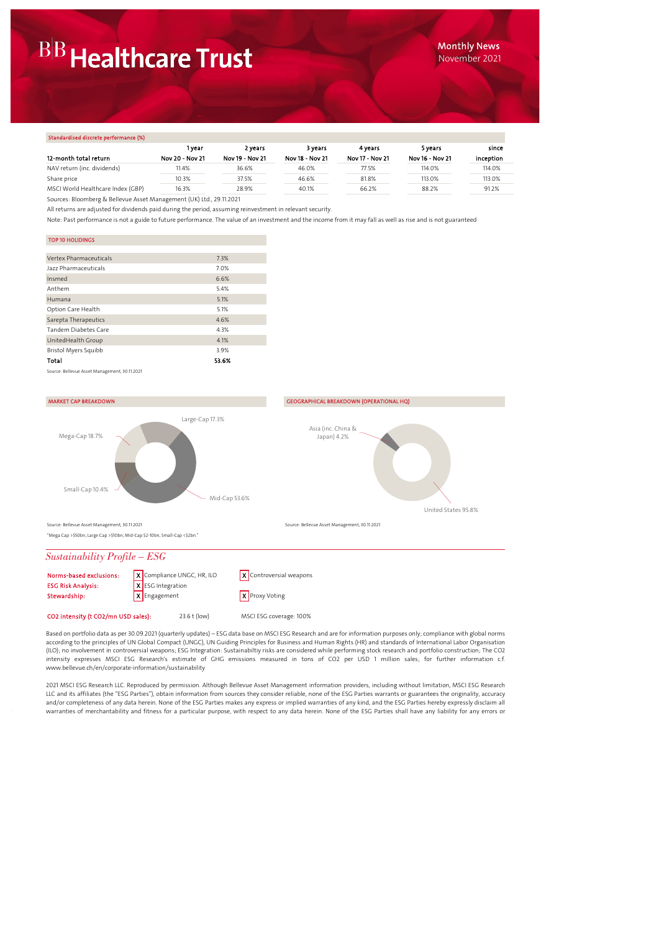### Standardised discrete performance (%)

| <u>Prainaalaheed aheelete peliteliimilee (79)</u> |                 |                 |                 |                 |                 |           |
|---------------------------------------------------|-----------------|-----------------|-----------------|-----------------|-----------------|-----------|
|                                                   | 1 vear          | 2 years         | 3 years         | 4 vears         | 5 years         | since     |
| 12-month total return                             | Nov 20 - Nov 21 | Nov 19 - Nov 21 | Nov 18 - Nov 21 | Nov 17 - Nov 21 | Nov 16 - Nov 21 | inception |
| NAV return (inc. dividends)                       | 11.4%           | 36.6%           | 46.0%           | 77.5%           | 114.0%          | 114.0%    |
| Share price                                       | 10.3%           | 37.5%           | 46.6%           | 81.8%           | 113.0%          | 113.0%    |
| MSCI World Healthcare Index (GBP)                 | 16.3%           | 28.9%           | 40.1%           | 66.2%           | 88.2%           | 91.2%     |
|                                                   |                 |                 |                 |                 |                 |           |

Sources: Bloomberg & Bellevue Asset Management (UK) Ltd., 29.11.2021

All returns are adjusted for dividends paid during the period, assuming reinvestment in relevant security.

Note: Past performance is not a guide to future performance. The value of an investment and the income from it may fall as well as rise and is not guaranteed

### TOP 10 HOLIDINGS

| <b>Vertex Pharmaceuticals</b>                 | 7.3%  |
|-----------------------------------------------|-------|
| Jazz Pharmaceuticals                          | 7.0%  |
| Insmed                                        | 6.6%  |
| Anthem                                        | 5.4%  |
| Humana                                        | 5.1%  |
| Option Care Health                            | 5.1%  |
| Sarepta Therapeutics                          | 4.6%  |
| Tandem Diabetes Care                          | 4.3%  |
| UnitedHealth Group                            | 4.1%  |
| Bristol Myers Squibb                          | 3.9%  |
| Total                                         | 53.6% |
| Source: Bellevue Asset Management, 30.11.2021 |       |





"Mega Cap >\$50bn, Large Cap >\$10bn, Mid-Cap \$2-10bn, Small-Cap <\$2bn."

## *Sustainability Profile – ESG*

| Norms-based exclusions:   | X Compliance UNGC, HR, ILO | $\mathsf{X}$ Controversial weapons |
|---------------------------|----------------------------|------------------------------------|
| <b>ESG Risk Analysis:</b> | X ESG Integration          |                                    |
| Stewardship:              | X Engagement               | X Proxy Voting                     |
|                           |                            |                                    |

CO2 intensity (t CO2/mn USD sales): 23.6 t (low) MSCI ESG coverage: 100%

Based on portfolio data as per 30.09.2021 (quarterly updates) – ESG data base on MSCI ESG Research and are for information purposes only; compliance with global norms according to the principles of UN Global Compact (UNGC), UN Guiding Principles for Business and Human Rights (HR) and standards of International Labor Organisation (ILO); no involvement in controversial weapons; ESG Integration: Sustainabiltiy risks are considered while performing stock research and portfolio construction; The CO2 intensity expresses MSCI ESG Research's estimate of GHG emissions measured in tons of CO2 per USD 1 million sales; for further information c.f. www.bellevue.ch/en/corporate-information/sustainability

2021 MSCI ESG Research LLC. Reproduced by permission. Although Bellevue Asset Management information providers, including without limitation, MSCI ESG Research LLC and its affiliates (the "ESG Parties"), obtain information from sources they consider reliable, none of the ESG Parties warrants or guarantees the originality, accuracy and/or completeness of any data herein. None of the ESG Parties makes any express or implied warranties of any kind, and the ESG Parties hereby expressly disclaim all warranties of merchantability and fitness for a particular purpose, with respect to any data herein. None of the ESG Parties shall have any liability for any errors or